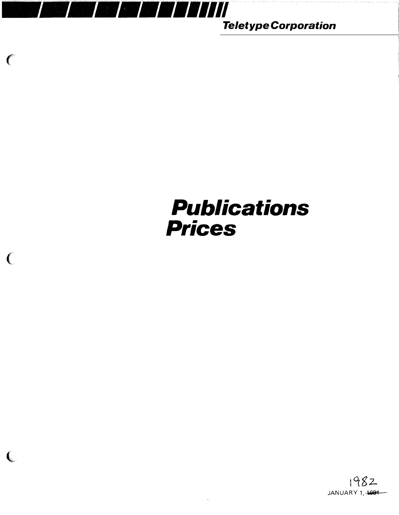

 $\epsilon$ 

 $\overline{C}$ 

 $\overline{\mathbb{C}}$ 

**Teletype Corporation** 

# **Publications Prices**

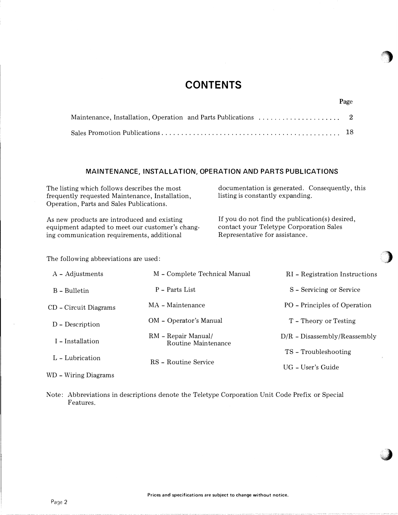## **CONTENTS**

### MAINTENANCE, INSTALLATION, OPERATION AND PARTS PUBLICATIONS

The listing which follows describes the most frequently requested Maintenance, Installation, Operation, Parts and Sales Publications. documentation is generated. Consequently, this listing is constantly expanding.

As new products are introduced and existing equipment adapted to meet our customer's changing communication requirements, additional

Page

:J

If you do not find the publication(s) desired, contact your Teletype Corporation Sales Representative for assistance.

The following abbreviations are used:

| A - Adjustments       | M - Complete Technical Manual              | RI – Registration Instructions |
|-----------------------|--------------------------------------------|--------------------------------|
| B - Bulletin          | P - Parts List                             | S - Servicing or Service       |
| CD – Circuit Diagrams | MA - Maintenance                           | PO - Principles of Operation   |
| D - Description       | OM - Operator's Manual                     | T - Theory or Testing          |
| I – Installation      | RM - Repair Manual/<br>Routine Maintenance | $D/R$ – Disassembly/Reassembly |
| L - Lubrication       |                                            | TS - Troubleshooting           |
| WD - Wiring Diagrams  | RS - Routine Service                       | UG – User's Guide              |

Note: Abbreviations in descriptions denote the Teletype Corporation Unit Code Prefix or Special Features.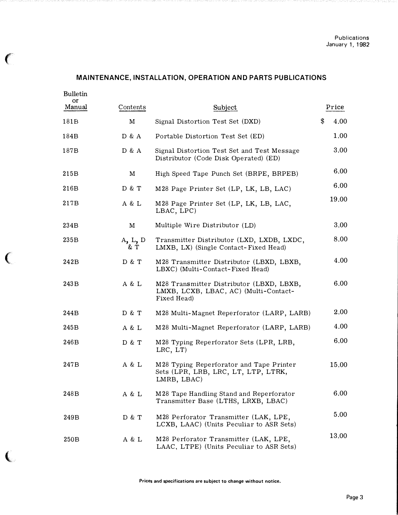## MAINTENANCE, INSTALLATION, OPERATION AND PARTS PUBLICATIONS

 $\epsilon$ 

 $\left($ 

| <b>Bulletin</b><br>or<br>Manual | Contents       | Subject                                                                                          | Price      |
|---------------------------------|----------------|--------------------------------------------------------------------------------------------------|------------|
| 181B                            | M              | Signal Distortion Test Set (DXD)                                                                 | \$<br>4.00 |
| 184B                            | D & A          | Portable Distortion Test Set (ED)                                                                | 1.00       |
| 187B                            | D & A          | Signal Distortion Test Set and Test Message<br>Distributor (Code Disk Operated) (ED)             | 3.00       |
| 215B                            | M              | High Speed Tape Punch Set (BRPE, BRPEB)                                                          | 6.00       |
| 216B                            | D & T          | M28 Page Printer Set (LP, LK, LB, LAC)                                                           | 6.00       |
| 217B                            | A & L          | M28 Page Printer Set (LP, LK, LB, LAC,<br>LBAC, LPC)                                             | 19.00      |
| 234B                            | M              | Multiple Wire Distributor (LD)                                                                   | 3.00       |
| 235B                            | A, L, D<br>& T | Transmitter Distributor (LXD, LXDB, LXDC,<br>LMXB, LX) (Single Contact-Fixed Head)               | 8.00       |
| 242B                            | D & T          | M28 Transmitter Distributor (LBXD, LBXB,<br>LBXC) (Multi-Contact-Fixed Head)                     | 4.00       |
| 243 B                           | A & L          | M28 Transmitter Distributor (LBXD, LBXB,<br>LMXB, LCXB, LBAC, AC) (Multi-Contact-<br>Fixed Head) | 6.00       |
| 244B                            | D & T          | M28 Multi-Magnet Reperforator (LARP, LARB)                                                       | 2.00       |
| 245B                            | A & L          | M28 Multi-Magnet Reperforator (LARP, LARB)                                                       | 4.00       |
| 246B                            | D & T          | M28 Typing Reperforator Sets (LPR, LRB,<br>LRC, LT                                               | 6.00       |
| 247B                            | A & L          | M28 Typing Reperforator and Tape Printer<br>Sets (LPR, LRB, LRC, LT, LTP, LTRK,<br>LMRB, LBAC)   | 15.00      |
| 248B                            | A & L          | M28 Tape Handling Stand and Reperforator<br>Transmitter Base (LTHS, LRXB, LBAC)                  | 6.00       |
| 249B                            | D & T          | M28 Perforator Transmitter (LAK, LPE,<br>LCXB, LAAC) (Units Peculiar to ASR Sets)                | 5.00       |
| 250 <sub>B</sub>                | A & L          | M28 Perforator Transmitter (LAK, LPE,<br>LAAC, LTPE) (Units Peculiar to ASR Sets)                | 13.00      |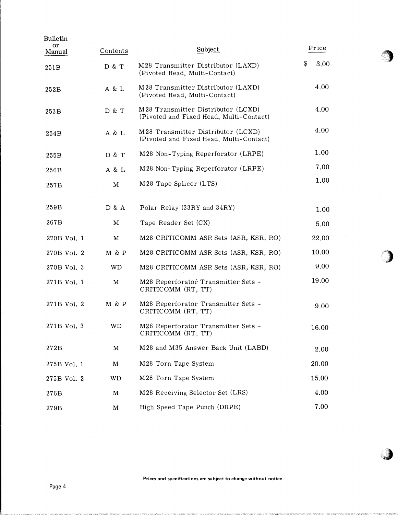| Bulletin<br>or |             |                                                                               |            |  |
|----------------|-------------|-------------------------------------------------------------------------------|------------|--|
| Manual         | Contents    | Subject                                                                       | Price      |  |
| 251B           | D & T       | M28 Transmitter Distributor (LAXD)<br>(Pivoted Head, Multi-Contact)           | \$<br>3.00 |  |
| 252B           | A & L       | M28 Transmitter Distributor (LAXD)<br>(Pivoted Head, Multi-Contact)           | 4.00       |  |
| 253B           | D & T       | M28 Transmitter Distributor (LCXD)<br>(Pivoted and Fixed Head, Multi-Contact) | 4.00       |  |
| 254B           | A & L       | M28 Transmitter Distributor (LCXD)<br>(Pivoted and Fixed Head, Multi-Contact) | 4.00       |  |
| 255B           | D & T       | M28 Non-Typing Reperforator (LRPE)                                            | 1.00       |  |
| 256B           | A & L       | M28 Non-Typing Reperforator (LRPE)                                            | 7.00       |  |
| 257B           | $\mathbf M$ | M28 Tape Splicer (LTS)                                                        | 1.00       |  |
| 259B           | D & A       | Polar Relay (33RY and 34RY)                                                   | 1.00       |  |
| 267B           | М           | Tape Reader Set (CX)                                                          | 5.00       |  |
| 270B Vol. 1    | М           | M28 CRITICOMM ASR Sets (ASR, KSR, RO)                                         | 22.00      |  |
| 270B Vol. 2    | M & P       | M28 CRITICOMM ASR Sets (ASR, KSR, RO)                                         | 10.00      |  |
| 270B Vol. 3    | WD          | M28 CRITICOMM ASR Sets (ASR, KSR, RO)                                         | 9.00       |  |
| 271B Vol. 1    | М           | M28 Reperforator Transmitter Sets -<br>CRITICOMM (RT, TT)                     | 19.00      |  |
| 271B Vol. 2    | M & P       | M28 Reperforator Transmitter Sets -<br>CRITICOMM (RT, TT)                     | 9.00       |  |
| 271B Vol. 3    | WD          | M28 Reperforator Transmitter Sets -<br>CRITICOMM (RT, TT)                     | 16.00      |  |
| 272B           | M           | M28 and M35 Answer Back Unit (LABD)                                           | 2.00       |  |
| 275B Vol. 1    | М           | M28 Torn Tape System                                                          | 20.00      |  |
| 275B Vol. 2    | WD          | M28 Torn Tape System                                                          | 15.00      |  |
| 276B           | M           | M28 Receiving Selector Set (LRS)                                              | 4.00       |  |
| 279B           | М           | High Speed Tape Punch (DRPE)                                                  | 7.00       |  |

 $\lambda$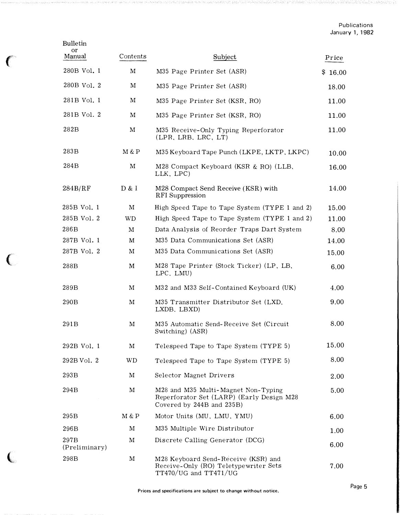| <b>Bulletin</b><br>or |             |                                                                                                               |         |
|-----------------------|-------------|---------------------------------------------------------------------------------------------------------------|---------|
| Manual                | Contents    | Subject                                                                                                       | Price   |
| 280B Vol. 1           | M           | M35 Page Printer Set (ASR)                                                                                    | \$16.00 |
| 280B Vol. 2           | M           | M35 Page Printer Set (ASR)                                                                                    | 18.00   |
| 281B Vol. 1           | M           | M35 Page Printer Set (KSR, RO)                                                                                | 11.00   |
| 281B Vol. 2           | М           | M35 Page Printer Set (KSR, RO)                                                                                | 11.00   |
| 282B                  | М           | M35 Receive-Only Typing Reperforator<br>(LPR, LRB, LRC, LT)                                                   | 11.00   |
| 283B                  | M & P       | M35 Keyboard Tape Punch (LKPE, LKTP, LKPC)                                                                    | 10.00   |
| 284B                  | $\mathbf M$ | M28 Compact Keyboard (KSR & RO) (LLB,<br>LLK, LPC)                                                            | 16.00   |
| 284B/RF               | D & I       | M28 Compact Send Receive (KSR) with<br><b>RFI</b> Suppression                                                 | 14.00   |
| 285B Vol. 1           | M           | High Speed Tape to Tape System (TYPE 1 and 2)                                                                 | 15.00   |
| 285B Vol. 2           | WD          | High Speed Tape to Tape System (TYPE 1 and 2)                                                                 | 11.00   |
| 286B                  | M           | Data Analysis of Reorder Traps Dart System                                                                    | 8.00    |
| 287B Vol. 1           | M           | M35 Data Communications Set (ASR)                                                                             | 14.00   |
| 287B Vol. 2           | M           | M35 Data Communications Set (ASR)                                                                             | 15.00   |
| 288B                  | M           | M28 Tape Printer (Stock Ticker) (LP, LB,<br>LPC, LMU)                                                         | 6.00    |
| 289B                  | M           | M32 and M33 Self-Contained Keyboard (UK)                                                                      | 4.00    |
| 290B                  | М           | M35 Transmitter Distributor Set (LXD,<br>LXDB, LBXD)                                                          | 9.00    |
| 291 <sub>B</sub>      | M           | M35 Automatic Send-Receive Set (Circuit<br>Switching) (ASR)                                                   | 8.00    |
| 292B Vol. 1           | M           | Telespeed Tape to Tape System (TYPE 5)                                                                        | 15.00   |
| 292B Vol. 2           | WD          | Telespeed Tape to Tape System (TYPE 5)                                                                        | 8.00    |
| 293B                  | M           | Selector Magnet Drivers                                                                                       | 2.00    |
| 294B                  | M           | M28 and M35 Multi-Magnet Non-Typing<br>Reperforator Set (LARP) (Early Design M28<br>Covered by 244B and 235B) | 5.00    |
| 295B                  | M & P       | Motor Units (MU, LMU, YMU)                                                                                    | 6.00    |
| 296B                  | M           | M35 Multiple Wire Distributor                                                                                 | 1.00    |
| 297B<br>(Preliminary) | M           | Discrete Calling Generator (DCG)                                                                              | 6.00    |
| 298B                  | M           | M28 Keyboard Send-Receive (KSR) and<br>Receive-Only (RO) Teletypewriter Sets<br>TT470/UG and TT471/UG         | 7.00    |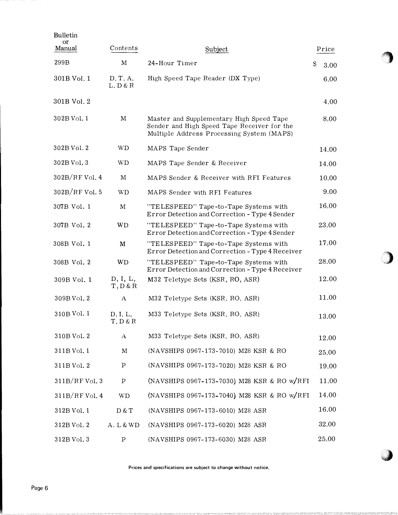| <b>Bulletin</b><br><b>or</b> |                      |                                                                                                                                      |            |  |
|------------------------------|----------------------|--------------------------------------------------------------------------------------------------------------------------------------|------------|--|
| Manual                       | Contents             | Subject                                                                                                                              | Price      |  |
| 299B                         | M                    | 24-Hour Timer                                                                                                                        | \$<br>3.00 |  |
| 301B Vol. 1                  | D, T, A,<br>L, D & R | High Speed Tape Reader (DX Type)                                                                                                     | 6.00       |  |
| 301B Vol. 2                  |                      |                                                                                                                                      | 4.00       |  |
| 302B Vol. 1                  | M                    | Master and Supplementary High Speed Tape<br>Sender and High Speed Tape Receiver for the<br>Multiple Address Processing System (MAPS) | 8.00       |  |
| 302B Vol. 2                  | <b>WD</b>            | MAPS Tape Sender                                                                                                                     | 14.00      |  |
| 302B Vol. 3                  | $\rm WD$             | MAPS Tape Sender & Receiver                                                                                                          | 14.00      |  |
| 302B/RF Vol. 4               | M                    | MAPS Sender & Receiver with RFI Features                                                                                             | 10.00      |  |
| $302B/RF$ Vol. 5             | <b>WD</b>            | MAPS Sender with RFI Features                                                                                                        | 9.00       |  |
| 307B Vol. 1                  | M                    | "TELESPEED" Tape-to-Tape Systems with<br>Error Detection and Correction - Type 4 Sender                                              | 16.00      |  |
| 307B Vol. 2                  | <b>WD</b>            | "TE LESPEED" Tape-to-Tape Systems with<br>Error Detection and Correction - Type 4 Sender                                             | 23.00      |  |
| 308B Vol. 1                  | M                    | "TELESPEED" Tape-to-Tape Systems with<br>Error Detection and Correction - Type 4 Receiver                                            | 17.00      |  |
| 308B Vol. 2                  | <b>WD</b>            | "TELESPEED" Tape-to-Tape Systems with<br>Error Detection and Correction - Type 4 Receiver                                            | 28.00      |  |
| 309B Vol. 1                  | D, I, L,<br>T, D & R | M32 Teletype Sets (KSR, RO, ASR)                                                                                                     | 12.00      |  |
| 309B Vol. 2                  | A                    | M32 Teletype Sets (KSR, RO, ASR)                                                                                                     | 11.00      |  |
| 310B Vol. 1                  | D, I, L,<br>T, D & R | M33 Teletype Sets (KSR, RO, ASR)                                                                                                     | 13.00      |  |
| 310B Vol. 2                  | $\mathbf{A}$         | M33 Teletype Sets (KSR, RO, ASR)                                                                                                     | 12.00      |  |
| 311B Vol. 1                  | M                    | (NAVSHIPS 0967-173-7010) M28 KSR & RO                                                                                                | 25.00      |  |
| 311B Vol. 2                  | $\, {\bf P}$         | (NAVSHIPS 0967-173-7020) M28 KSR & RO                                                                                                | 19.00      |  |
| $311B/RF$ Vol. 3             | $\, {\bf p}$         | (NAVSHIPS 0967-173-7030) M28 KSR & RO w/RFI                                                                                          | 11.00      |  |
| $311B/RF$ Vol. 4             | <b>WD</b>            | (NAVSHIPS 0967-173-7040) M28 KSR & RO w/RFI                                                                                          | 14.00      |  |
| 312B Vol. 1                  | D & T                | (NAVSHIPS 0967-173-6010) M28 ASR                                                                                                     | 16.00      |  |
| 312B Vol. 2                  | A. L & WD            | (NAVSHIPS 0967-173-6020) M28 ASR                                                                                                     | 32.00      |  |
| 312B Vol. 3                  | $\, {\bf P}$         | (NAVSHIPS 0967-173-6030) M28 ASR                                                                                                     | 25.00      |  |

Prices and specifications are subject to change without notice.

·

1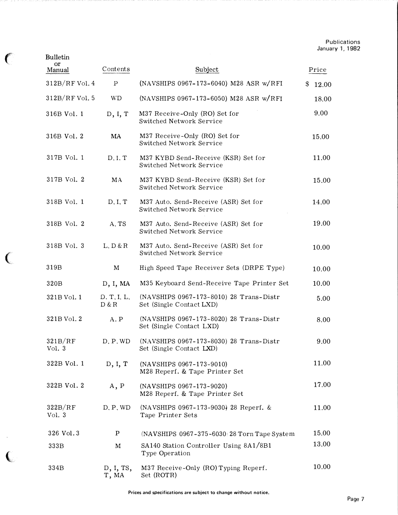Publications January 1, 1982

| <b>Bulletin</b><br>or<br>Manual | Contents             | Subject                                                             | Price   |
|---------------------------------|----------------------|---------------------------------------------------------------------|---------|
| $312B/RF$ Vol. 4                | $\mathbf{P}$         | (NAVSHIPS 0967-173-6040) M28 ASR w/RFI                              | \$12.00 |
| $312B/RF$ Vol. 5                | <b>WD</b>            | (NAVSHIPS 0967-173-6050) M28 ASR w/RFI                              | 18.00   |
| 316B Vol. 1                     | D, I, T              | M37 Receive-Only (RO) Set for<br>Switched Network Service           | 9.00    |
| 316B Vol. 2                     | MA                   | M37 Receive-Only (RO) Set for<br>Switched Network Service           | 15.00   |
| 317B Vol. 1                     | D, I, T              | M37 KYBD Send-Receive (KSR) Set for<br>Switched Network Service     | 11.00   |
| 317B Vol. 2                     | MA                   | M37 KYBD Send-Receive (KSR) Set for<br>Switched Network Service     | 15.00   |
| 318B Vol. 1                     | D, I, T              | M37 Auto. Send-Receive (ASR) Set for<br>Switched Network Service    | 14.00   |
| 318B Vol. 2                     | A, TS                | M37 Auto. Send-Receive (ASR) Set for<br>Switched Network Service    | 19.00   |
| 318B Vol. 3                     | L, D & R             | M37 Auto. Send-Receive (ASR) Set for<br>Switched Network Service    | 10.00   |
| 319B                            | M                    | High Speed Tape Receiver Sets (DRPE Type)                           | 10.00   |
| 320B                            | D, I, MA             | M35 Keyboard Send-Receive Tape Printer Set                          | 10.00   |
| 321B Vol. 1                     | D. T. I. L.<br>D & R | (NAVSHIPS 0967-173-8010) 28 Trans-Distr<br>Set (Single Contact LXD) | 5.00    |
| 321B Vol. 2                     | A.P                  | (NAVSHIPS 0967-173-8020) 28 Trans-Distr<br>Set (Single Contact LXD) | 8.00    |
| 321B/RF<br>vol. 3               | D, P, WD             | (NAVSHIPS 0967-173-8030) 28 Trans-Distr<br>Set (Single Contact LXD) | 9.00    |
| 322B Vol. 1                     | D, I, T              | (NAVSHIPS 0967-173-9010)<br>M28 Reperf. & Tape Printer Set          | 11.00   |
| 322B Vol. 2                     | A, P                 | (NAVSHIPS 0967-173-9020)<br>M28 Reperf. & Tape Printer Set          | 17.00   |
| 322B/RF<br>Vol. 3               | D, P, WD             | (NAVSHIPS 0967-173-9030) 28 Reperf. &<br>Tape Printer Sets          | 11.00   |
| 326 Vol. 3                      | P                    | (NAVSHIPS 0967-375-6030) 28 Torn Tape System                        | 15.00   |
| 333B                            | M                    | SA140 Station Controller Using 8A1/8B1<br>Type Operation            | 13.00   |
| 334B                            | D, I, TS,<br>T, MA   | M37 Receive-Only (RO) Typing Reperf.<br>Set (ROTR)                  | 10.00   |

 $\big($ 

 $\big($ 

 $\big($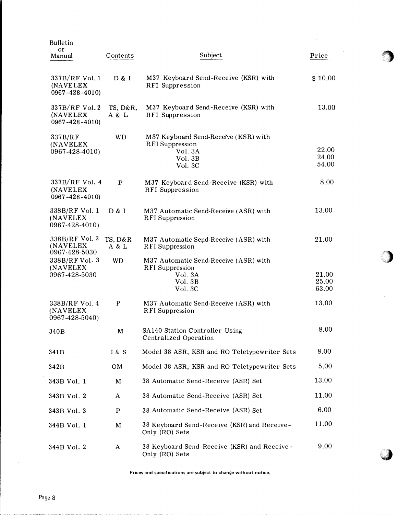| <b>Bulletin</b>                                                                            |                               |                                                                                                                                               |                         |  |
|--------------------------------------------------------------------------------------------|-------------------------------|-----------------------------------------------------------------------------------------------------------------------------------------------|-------------------------|--|
| or<br>Manual                                                                               | Contents                      | Subject                                                                                                                                       | Price                   |  |
| $337B/RF$ Vol. 1<br>(NAVELEX<br>$0967 - 428 - 4010$                                        | D & I                         | M37 Keyboard Send-Receive (KSR) with<br>RFI Suppression                                                                                       | \$10.00                 |  |
| $337B/RF$ Vol. 2<br>(NAVELEX<br>$0967 - 428 - 4010$                                        | TS, D&R,<br>A & L             | M37 Keyboard Send-Receive (KSR) with<br><b>RFI Suppression</b>                                                                                | 13,00                   |  |
| 337B/RF<br>(NAVELEX<br>0967-428-4010)                                                      | <b>WD</b>                     | M37 Keyboard Send-Receive (KSR) with<br><b>RFI</b> Suppression<br>Vol. 3A<br>Vol. 3B<br>Vol. 3C                                               | 22.00<br>24.00<br>54.00 |  |
| $337B/RF$ Vol. 4<br>(NAVELEX<br>$0967 - 428 - 4010$                                        | $\mathbf P$                   | M37 Keyboard Send-Receive (KSR) with<br><b>RFI</b> Suppression                                                                                | 8.00                    |  |
| 338B/RF Vol. 1<br>(NAVELEX<br>0967-428-4010)                                               | D & I                         | M37 Automatic Send-Receive (ASR) with<br><b>RFI</b> Suppression                                                                               | 13.00                   |  |
| 338B/RF Vol. 2<br>(NAVELEX<br>0967-428-5030<br>338B/RF Vol. 3<br>(NAVELEX<br>0967-428-5030 | TS, D&R<br>A & L<br><b>WD</b> | M37 Automatic Send-Receive (ASR) with<br><b>RFI</b> Suppression<br>M37 Automatic Send-Receive (ASR) with<br><b>RFI</b> Suppression<br>Vol. 3A | 21.00<br>21.00          |  |
|                                                                                            |                               | Vol. 3B<br>Vol. 3C                                                                                                                            | 25.00<br>63.00          |  |
| 338B/RF Vol. 4<br>(NAVELEX)<br>0967-428-5040)                                              | $\mathbf P$                   | M37 Automatic Send-Receive (ASR) with<br><b>RFI</b> Suppression                                                                               | 13.00                   |  |
| 340B                                                                                       | M                             | SA140 Station Controller Using<br>Centralized Operation                                                                                       | 8.00                    |  |
| 341B                                                                                       | 1 & S                         | Model 38 ASR, KSR and RO Teletypewriter Sets                                                                                                  | 8.00                    |  |
| 342B                                                                                       | <b>OM</b>                     | Model 38 ASR, KSR and RO Teletypewriter Sets                                                                                                  | 5.00                    |  |
| 343B Vol. 1                                                                                | M                             | 38 Automatic Send-Receive (ASR) Set                                                                                                           | 13.00                   |  |
| 343B Vol. 2                                                                                | A                             | 38 Automatic Send-Receive (ASR) Set                                                                                                           | 11.00                   |  |
| 343B Vol. 3                                                                                | $\, {\bf P}$                  | 38 Automatic Send-Receive (ASR) Set                                                                                                           | 6.00                    |  |
| 344B Vol. 1                                                                                | M                             | 38 Keyboard Send-Receive (KSR) and Receive-<br>Only (RO) Sets                                                                                 | 11.00                   |  |
| 344B Vol. 2                                                                                | A                             | 38 Keyboard Send-Receive (KSR) and Receive-<br>Only (RO) Sets                                                                                 | 9.00                    |  |

Prices and specifications are subject to change without notice.

 $\sim 10^7$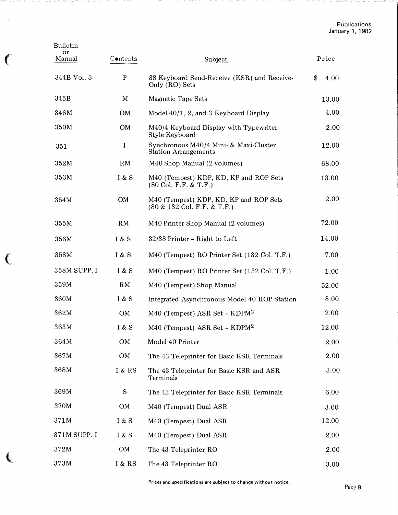| Bulletin     |                  |                                                                                   |            |
|--------------|------------------|-----------------------------------------------------------------------------------|------------|
| or<br>Manual | Contents         | Subject                                                                           | Price      |
| 344B Vol. 3  | P                | 38 Keyboard Send-Receive (KSR) and Receive-<br>Only (RO) Sets                     | \$<br>4.00 |
| 345B         | M                | Magnetic Tape Sets                                                                | 13.00      |
| 346M         | <b>OM</b>        | Model 40/1, 2, and 3 Keyboard Display                                             | 4.00       |
| 350M         | <b>OM</b>        | M40/4 Keyboard Display with Typewriter<br>Style Keyboard                          | 2.00       |
| 351          | I                | Synchronous M40/4 Mini- & Maxi-Cluster<br><b>Station Arrangements</b>             | 12.00      |
| 352M         | RM               | M40 Shop Manual (2 volumes)                                                       | 68.00      |
| 353M         | I & S            | M40 (Tempest) KDP, KD, KP and ROP Sets<br>(80 Col. F.F. & T.F.)                   | 13.00      |
| 354M         | <b>OM</b>        | M40 (Tempest) KDP, KD, KP and ROP Sets<br>$(80 \& 132 \text{ Col. F.F.} \& T.F.)$ | 2.00       |
| 355M         | RM               | M40 Printer Shop Manual (2 volumes)                                               | 72.00      |
| 356M         | I & S            | 32/38 Printer - Right to Left                                                     | 14.00      |
| 358M         | I & S            | M40 (Tempest) RO Printer Set (132 Col. T.F.)                                      | 7.00       |
| 358M SUPP. I | I & S            | M40 (Tempest) RO Printer Set (132 Col. T.F.)                                      | 1.00       |
| 359M         | RM               | M40 (Tempest) Shop Manual                                                         | 52.00      |
| 360M         | <b>1 &amp; S</b> | Integrated Asynchronous Model 40 ROP Station                                      | 8.00       |
| 362M         | <b>OM</b>        | M40 (Tempest) ASR Set - KDPM <sup>2</sup>                                         | 2.00       |
| 363M         | I & S            | M40 (Tempest) ASR Set - KDPM <sup>2</sup>                                         | 12.00      |
| 364M         | OM               | Model 40 Printer                                                                  | 2.00       |
| 367M         | OM               | The 43 Teleprinter for Basic KSR Terminals                                        | 2.00       |
| 368M         | I & RS           | The 43 Teleprinter for Basic KSR and ASR<br>Terminals                             | 3.00       |
| 369M         | S                | The 43 Teleprinter for Basic KSR Terminals                                        | 6.00       |
| 370M         | OM               | M40 (Tempest) Dual ASR                                                            | 3.00       |
| 371M         | I & S            | M40 (Tempest) Dual ASR                                                            | 12.00      |
| 371M SUPP. I | <b>I</b> & S     | M40 (Tempest) Dual ASR                                                            | 2.00       |
| 372M         | OM               | The 43 Teleprinter RO                                                             | 2.00       |
| 373M         | I & RS           | The 43 Teleprinter RO                                                             | 3.00       |

f

 $\epsilon$ 

 $\big($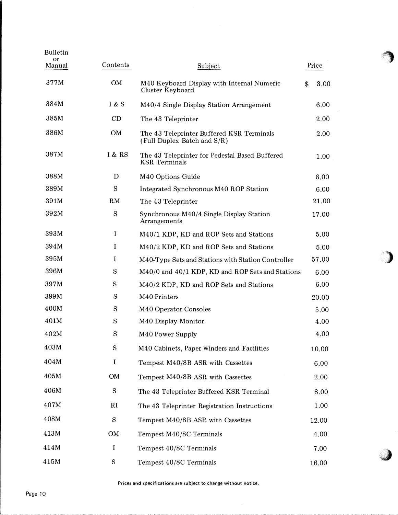| <b>Bulletin</b> |           |                                                                          |            |  |
|-----------------|-----------|--------------------------------------------------------------------------|------------|--|
| or<br>Manual    | Contents  | Subject                                                                  | Price      |  |
| 377M            | OM        | M40 Keyboard Display with Internal Numeric<br>Cluster Keyboard           | 3.00<br>\$ |  |
| 384M            | I & S     | M40/4 Single Display Station Arrangement                                 | 6.00       |  |
| 385M            | CD        | The 43 Teleprinter                                                       | 2.00       |  |
| 386M            | OM        | The 43 Teleprinter Buffered KSR Terminals<br>(Full Duplex Batch and S/R) | 2.00       |  |
| 387M            | I & RS    | The 43 Teleprinter for Pedestal Based Buffered<br><b>KSR</b> Terminals   | 1.00       |  |
| 388M            | D         | M40 Options Guide                                                        | 6.00       |  |
| 389M            | S         | Integrated Synchronous M40 ROP Station                                   | 6.00       |  |
| 391M            | RM        | The 43 Teleprinter                                                       | 21.00      |  |
| 392M            | ${\bf S}$ | Synchronous M40/4 Single Display Station<br>Arrangements                 | 17.00      |  |
| 393M            | I         | M40/1 KDP, KD and ROP Sets and Stations                                  | 5.00       |  |
| 394M            | Ι         | M40/2 KDP, KD and ROP Sets and Stations                                  | 5.00       |  |
| 395M            | I         | M40-Type Sets and Stations with Station Controller                       | 57.00      |  |
| 396M            | S         | M40/0 and 40/1 KDP, KD and ROP Sets and Stations                         | 6.00       |  |
| 397M            | S         | M40/2 KDP, KD and ROP Sets and Stations                                  | 6.00       |  |
| 399M            | S         | M40 Printers                                                             | 20.00      |  |
| 400M            | S         | M40 Operator Consoles                                                    | 5.00       |  |
| 401M            | S         | M40 Display Monitor                                                      | 4.00       |  |
| 402M            | S         | M40 Power Supply                                                         | 4.00       |  |
| 403M            | ${\bf S}$ | M40 Cabinets, Paper Winders and Facilities                               | 10.00      |  |
| 404M            | I         | Tempest M40/8B ASR with Cassettes                                        | 6.00       |  |
| 405M            | OM        | Tempest M40/8B ASR with Cassettes                                        | 2.00       |  |
| 406M            | S         | The 43 Teleprinter Buffered KSR Terminal                                 | 8.00       |  |
| 407M            | RI        | The 43 Teleprinter Registration Instructions                             | 1.00       |  |
| 408M            | ${\bf S}$ | Tempest M40/8B ASR with Cassettes                                        | 12.00      |  |
| 413M            | OM        | Tempest M40/8C Terminals                                                 | 4.00       |  |
| 414M            | I         | Tempest 40/8C Terminals                                                  | 7.00       |  |
| 415M            | ${\bf S}$ | Tempest 40/8C Terminals                                                  | 16.00      |  |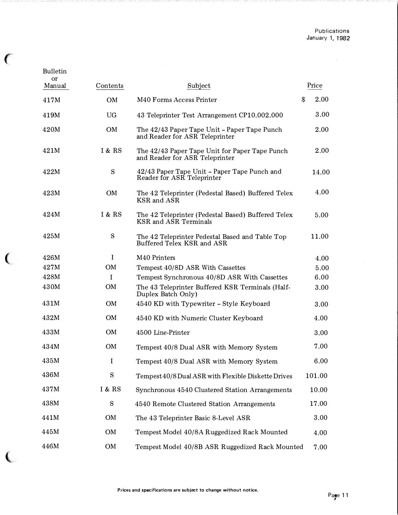$\mathcal{A}^{\mathcal{A}}$ 

| <b>or</b><br>Manual | Contents     | Subject                                                                          | Price      |
|---------------------|--------------|----------------------------------------------------------------------------------|------------|
| 417M                | <b>OM</b>    | M40 Forms Access Printer                                                         | 2.00<br>\$ |
| 419M                | UG           | 43 Teleprinter Test Arrangement CP10.002.000                                     | 3.00       |
| 420M                | OM           | The 42/43 Paper Tape Unit - Paper Tape Punch<br>and Reader for ASR Teleprinter   | 2.00       |
| 421M                | I & RS       | The 42/43 Paper Tape Unit for Paper Tape Punch<br>and Reader for ASR Teleprinter | 2.00       |
| 422M                | S            | 42/43 Paper Tape Unit - Paper Tape Punch and<br>Reader for ASR Teleprinter       | 14.00      |
| 423M                | <b>OM</b>    | The 42 Teleprinter (Pedestal Based) Buffered Telex<br>KSR and ASR                | 4.00       |
| 424M                | I & RS       | The 42 Teleprinter (Pedestal Based) Buffered Telex<br>KSR and ASR Terminals      | 5.00       |
| 425M                | S            | The 42 Teleprinter Pedestal Based and Table Top<br>Buffered Telex KSR and ASR    | 11.00      |
| 426M                | $\mathbf{I}$ | M <sub>40</sub> Printers                                                         | 4.00       |
| 427M                | <b>OM</b>    | Tempest 40/8D ASR With Cassettes                                                 | 5.00       |
| 428M                | $\bf{I}$     | Tempest Synchronous 40/8D ASR With Cassettes                                     | 6.00       |
| 430M                | OM           | The 43 Teleprinter Buffered KSR Terminals (Half-<br>Duplex Batch Only)           | 3.00       |
| 431M                | <b>OM</b>    | 4540 KD with Typewriter - Style Keyboard                                         | 3.00       |
| 432M                | <b>OM</b>    | 4540 KD with Numeric Cluster Keyboard                                            | 4.00       |
| 433M                | <b>OM</b>    | 4500 Line-Printer                                                                | 3.00       |
| 434M                | <b>OM</b>    | Tempest 40/8 Dual ASR with Memory System                                         | 7.00       |
| 435M                | $\mathbf I$  | Tempest 40/8 Dual ASR with Memory System                                         | 6.00       |
| 436M                | ${\bf S}$    | Tempest 40/8 Dual ASR with Flexible Diskette Drives                              | 101.00     |
| 437M                | I & RS       | Synchronous 4540 Clustered Station Arrangements                                  | 10.00      |
| 438M                | S            | 4540 Remote Clustered Station Arrangements                                       | 17.00      |
| 441M                | OM           | The 43 Teleprinter Basic 8-Level ASR                                             | 3.00       |
| 445M                | OM           | Tempest Model 40/8A Ruggedized Rack Mounted                                      | 4.00       |
| 446M                | OM           | Tempest Model 40/8B ASR Ruggedized Rack Mounted                                  | 7.00       |

 $\left($ 

 $\big($ 

 $\overline{\mathbf{C}}$ 

Bulletin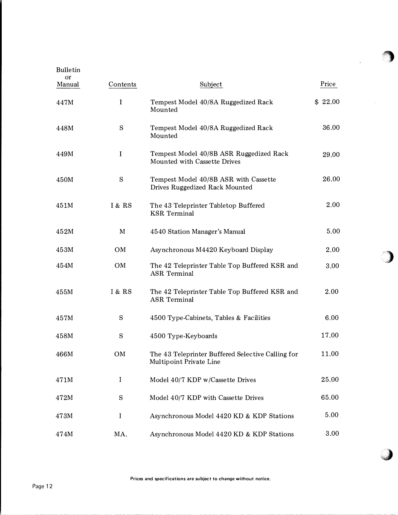| <b>Bulletin</b> |             |                                                                              |         |
|-----------------|-------------|------------------------------------------------------------------------------|---------|
| or<br>Manual    | Contents    | Subject                                                                      | Price   |
| 447M            | I           | Tempest Model 40/8A Ruggedized Rack<br>Mounted                               | \$22.00 |
| 448M            | S           | Tempest Model 40/8A Ruggedized Rack<br>Mounted                               | 36.00   |
| 449M            | $\mathbf I$ | Tempest Model 40/8B ASR Ruggedized Rack<br>Mounted with Cassette Drives      | 29.00   |
| 450M            | S           | Tempest Model 40/8B ASR with Cassette<br>Drives Ruggedized Rack Mounted      | 26.00   |
| 451M            | I & RS      | The 43 Teleprinter Tabletop Buffered<br><b>KSR</b> Terminal                  | 2.00    |
| 452M            | M           | 4540 Station Manager's Manual                                                | 5.00    |
| 453M            | OM          | Asynchronous M4420 Keyboard Display                                          | 2.00    |
| 454M            | OM          | The 42 Teleprinter Table Top Buffered KSR and<br><b>ASR</b> Terminal         | 3.00    |
| 455M            | I & RS      | The 42 Teleprinter Table Top Buffered KSR and<br><b>ASR Terminal</b>         | 2.00    |
| 457M            | S           | 4500 Type-Cabinets, Tables & Facilities                                      | 6.00    |
| 458M            | ${\bf S}$   | 4500 Type-Keyboards                                                          | 17.00   |
| 466M            | OM          | The 43 Teleprinter Buffered Selective Calling for<br>Multipoint Private Line | 11.00   |
| 471M            | Ι           | Model 40/7 KDP w/Cassette Drives                                             | 25.00   |
| 472M            | ${\bf S}$   | Model 40/7 KDP with Cassette Drives                                          | 65.00   |
| 473M            | I           | Asynchronous Model 4420 KD & KDP Stations                                    | 5.00    |
| 474M            | MA.         | Asynchronous Model 4420 KD & KDP Stations                                    | 3.00    |

 $\bigcirc$ 

)

.,.)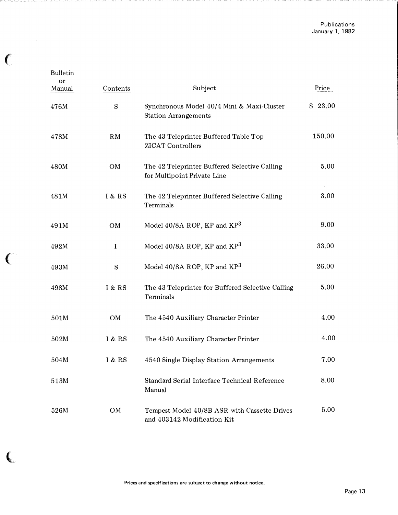| or<br>Manual | Contents | Subject                                                                      | Price   |
|--------------|----------|------------------------------------------------------------------------------|---------|
| 476M         | S        | Synchronous Model 40/4 Mini & Maxi-Cluster<br><b>Station Arrangements</b>    | \$23.00 |
| 478M         | RM       | The 43 Teleprinter Buffered Table Top<br><b>ZICAT Controllers</b>            | 150.00  |
| 480M         | OM       | The 42 Teleprinter Buffered Selective Calling<br>for Multipoint Private Line | 5.00    |
| 481M         | I & RS   | The 42 Teleprinter Buffered Selective Calling<br>Terminals                   | 3.00    |
| 491M         | OM       | Model 40/8A ROP, KP and KP <sup>3</sup>                                      | 9.00    |
| 492M         | $\bf{I}$ | Model 40/8A ROP, $KP$ and $KP3$                                              | 33.00   |
| 493M         | S        | Model 40/8A ROP, $KP$ and $KP3$                                              | 26.00   |
| 498M         | I & RS   | The 43 Teleprinter for Buffered Selective Calling<br>Terminals               | 5.00    |
| 501M         | OM       | The 4540 Auxiliary Character Printer                                         | 4.00    |
| 502M         | I & RS   | The 4540 Auxiliary Character Printer                                         | 4.00    |
| 504M         | I & RS   | 4540 Single Display Station Arrangements                                     | 7.00    |
| 513M         |          | Standard Serial Interface Technical Reference<br>Manual                      | 8.00    |
| 526M         | OM       | Tempest Model 40/8B ASR with Cassette Drives<br>and 403142 Modification Kit  | 5.00    |

 $\epsilon$ 

 $\big($ 

 $\overline{\mathbf{C}}$ 

Bulletin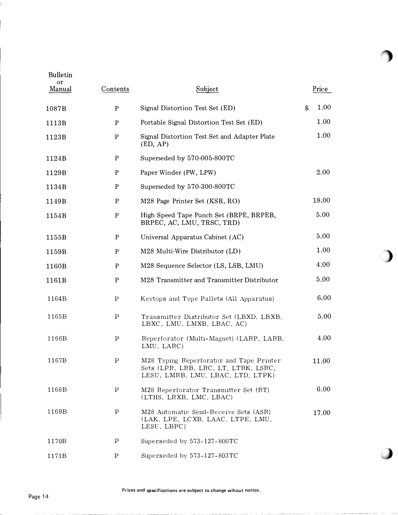| <b>Bulletin</b><br>or<br>Manual | Contents     | Subject                                                                                                               | Price      |
|---------------------------------|--------------|-----------------------------------------------------------------------------------------------------------------------|------------|
| 1087B                           | P            | Signal Distortion Test Set (ED)                                                                                       | \$<br>1.00 |
| 1113B                           | P            | Portable Signal Distortion Test Set (ED)                                                                              | 1.00       |
| 1123B                           | P            | Signal Distortion Test Set and Adapter Plate<br>(ED, AP)                                                              | 1.00       |
| 1124B                           | P            | Superseded by 570-005-800TC                                                                                           |            |
| 1129B                           | P            | Paper Winder (PW, LPW)                                                                                                | 2.00       |
| 1134B                           | P            | Superseded by 570-300-800TC                                                                                           |            |
| 1149B                           | ${\bf P}$    | M28 Page Printer Set (KSR, RO)                                                                                        | 18.00      |
| 1154B                           | P            | High Speed Tape Punch Set (BRPE, BRPEB,<br>BRPEC, AC, LMU, TRSC, TRD)                                                 | 5.00       |
| 1155B                           | P            | Universal Apparatus Cabinet (AC)                                                                                      | 5.00       |
| 1159B                           | ${\bf P}$    | M28 Multi-Wire Distributor (LD)                                                                                       | 1.00       |
| 1160B                           | P            | M28 Sequence Selector (LS, LSB, LMU)                                                                                  | 4.00       |
| 1161B                           | P            | M28 Transmitter and Transmitter Distributor                                                                           | 5.00       |
| 1164B                           | $\mathbf P$  | Keytops and Type Pallets (All Apparatus)                                                                              | 6.00       |
| 1165B                           | $\mathbf{P}$ | Transmitter Distributor Set (LBXD, LBXB,<br>LBXC, LMU. LMXB, LBAC, AC)                                                | 5.00       |
| 1166B                           | P            | Reperforator (Multi-Magnet) (LARP, LARB,<br>LMU, LARC)                                                                | 4.00       |
| 1167B                           | Ρ            | M28 Typing Reperforator and Tape Printer<br>Sets (LPR, LRB, LRC, LT, LTRK, LSRC,<br>LESU, LMRB, LMU, LBAC, LTD, LTPK) | 11.00      |
| 1168B                           | Ρ            | M28 Reperforator Transmitter Set (RT)<br>(LTHS, LRXB, LMC, LBAC)                                                      | 6.00       |
| 1169B                           | $\mathbf P$  | M28 Automatic Send-Receive Sets (ASR)<br>(LAK, LPE, LCXB, LAAC, LTPE, LMU,<br>LESU, LBPC)                             | 17.00      |
| 1170B                           | Ρ            | Superseded by 573-127-800TC                                                                                           |            |
| 1171B                           | Ρ            | Superseded by 573-127-803TC                                                                                           |            |

Prices and specifications are subject to change wihout notice.

,  $\frac{1}{2}$  ,  $\frac{1}{2}$  ,  $\frac{1}{2}$  ,  $\frac{1}{2}$  ,  $\frac{1}{2}$  ,  $\frac{1}{2}$  ,  $\frac{1}{2}$  ,  $\frac{1}{2}$  ,  $\frac{1}{2}$  ,  $\frac{1}{2}$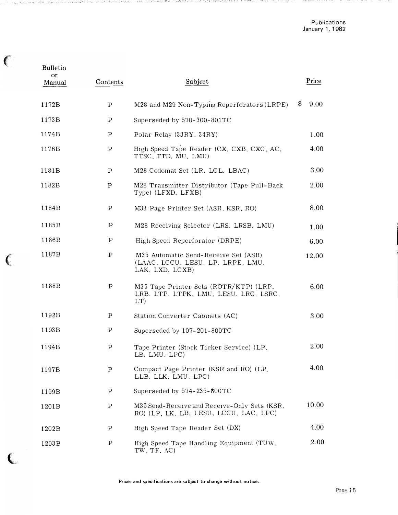| <b>Bulletin</b><br>or<br>Manual | Contents     | Subject                                                                                      | Price      |
|---------------------------------|--------------|----------------------------------------------------------------------------------------------|------------|
| 1172B                           | $\mathbf P$  | M28 and M29 Non-Typing Reperforators (LRPE)                                                  | \$<br>9.00 |
| 1173B                           | $\mathbf P$  | Superseded by 570-300-801TC                                                                  |            |
| 1174B                           | $\mathbf P$  | Polar Relay (33RY, 34RY)                                                                     | 1.00       |
| 1176B                           | $\mathbf P$  | High Speed Tape Reader (CX, CXB, CXC, AC,<br>TTSC, TTD, MU, LMU)                             | 4.00       |
| 1181B                           | P            | M28 Codomat Set (LR, LCL, LBAC)                                                              | 3.00       |
| 1182B                           | $\mathbf P$  | M28 Transmitter Distributor (Tape Pull-Back<br>Type) (LFXD, LFXB)                            | 2.00       |
| 1184B                           | P            | M33 Page Printer Set (ASR, KSR, RO)                                                          | 8.00       |
| 1185B                           | P            | M28 Receiving Selector (LRS. LRSB, LMU)                                                      | 1.00       |
| 1186B                           | $\, {\bf p}$ | High Speed Reperforator (DRPE)                                                               | 6.00       |
| 1187B                           | $\mathbf P$  | M35 Automatic Send-Receive Set (ASR)<br>(LAAC, LCCU, LESU, LP, LRPE, LMU,<br>LAK, LXD, LCXB) | 12.00      |
| 1188B                           | $\mathbf P$  | M35 Tape Printer Sets (ROTR/KTP) (LRP.<br>LRB, LTP, LTPK, LMU, LESU, LRC, LSRC,<br>LT)       | 6.00       |
| 1192B                           | Ρ            | Station Converter Cabinets (AC)                                                              | 3.00       |
| 1193B                           | $\mathbf P$  | Superseded by 107-201-800TC                                                                  |            |
| 1194B                           | Р            | Tape Printer (Stock Ticker Service) (LP.<br>LB, LMU, LPC)                                    | 2.00       |
| 1197B                           | $\, {\bf p}$ | Compact Page Printer (KSR and RO) (LP.<br>LLB, LLK, LMU, LPC)                                | 4.00       |
| 1199B                           | Ρ            | Superseded by 574-235-800TC                                                                  |            |
| 1201B                           | $\, {\bf p}$ | M35 Send-Receive and Receive-Only Sets (KSR.<br>RO) (LP, LK, LB, LESU, LCCU, LAC, LPC)       | 10.00      |
| 1202B                           | $\mathbf p$  | High Speed Tape Reader Set (DX)                                                              | 4.00       |
| 1203B                           | $\, {\bf p}$ | High Speed Tape Handling Equipment (TUW.<br>TW, TF, AC)                                      | 2.00       |

€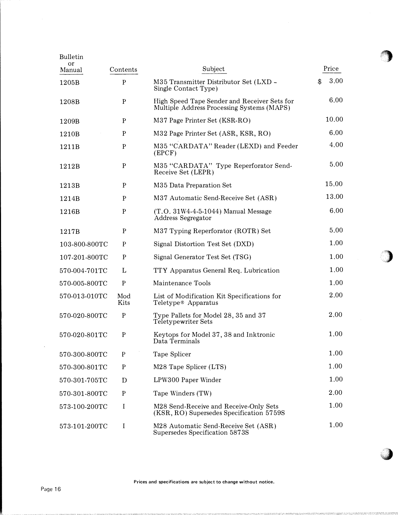| <b>Bulletin</b> |              |                                                                                            |            |
|-----------------|--------------|--------------------------------------------------------------------------------------------|------------|
| or<br>Manual    | Contents     | Subject                                                                                    | Price      |
| 1205B           | $\mathbf{P}$ | M35 Transmitter Distributor Set (LXD -<br>Single Contact Type)                             | 3.00<br>\$ |
| 1208B           | P            | High Speed Tape Sender and Receiver Sets for<br>Multiple Address Processing Systems (MAPS) | 6.00       |
| 1209B           | P            | M37 Page Printer Set (KSR-RO)                                                              | 10.00      |
| 1210B           | P            | M32 Page Printer Set (ASR, KSR, RO)                                                        | 6.00       |
| 1211B           | $\mathbf P$  | M35 "CARDATA" Reader (LEXD) and Feeder<br>(EPCF)                                           | 4.00       |
| 1212B           | $\mathbf P$  | M35 "CARDATA" Type Reperforator Send-<br>Receive Set (LEPR)                                | 5.00       |
| 1213B           | P            | M35 Data Preparation Set                                                                   | 15.00      |
| 1214B           | $\mathbf P$  | M37 Automatic Send-Receive Set (ASR)                                                       | 13.00      |
| 1216B           | P            | (T.O. 31W4-4-5-1044) Manual Message<br>Address Segregator                                  | 6.00       |
| 1217B           | P            | M37 Typing Reperforator (ROTR) Set                                                         | 5.00       |
| 103-800-800TC   | P            | Signal Distortion Test Set (DXD)                                                           | 1.00       |
| 107-201-800TC   | $\mathbf{P}$ | Signal Generator Test Set (TSG)                                                            | 1.00       |
| 570-004-701TC   | L            | TTY Apparatus General Req. Lubrication                                                     | 1.00       |
| 570-005-800TC   | $\mathbf P$  | Maintenance Tools                                                                          | 1.00       |
| 570-013-010TC   | Mod<br>Kits  | List of Modification Kit Specifications for<br>Teletype <sup>®</sup> Apparatus             | 2.00       |
| 570-020-800TC   | ${\bf P}$    | Type Pallets for Model 28, 35 and 37<br>Teletypewriter Sets                                | 2.00       |
| 570-020-801TC   | $\mathbf{P}$ | Keytops for Model 37, 38 and Inktronic<br>Data Terminals                                   | 1.00       |
| 570-300-800TC   | P            | Tape Splicer                                                                               | 1.00       |
| 570-300-801TC   | P            | M28 Tape Splicer (LTS)                                                                     | 1.00       |
| 570-301-705TC   | D            | LPW300 Paper Winder                                                                        | 1.00       |
| 570-301-800TC   | ${\bf P}$    | Tape Winders (TW)                                                                          | 2.00       |
| 573-100-200TC   | I            | M28 Send-Receive and Receive-Only Sets<br>(KSR, RO) Supersedes Specification 5759S         | 1.00       |
| 573-101-200TC   | I            | M28 Automatic Send-Receive Set (ASR)<br>Supersedes Specification 5873S                     | 1.00       |

 $\rightarrow$ 

 $\rightarrow$ 

**)** 

201022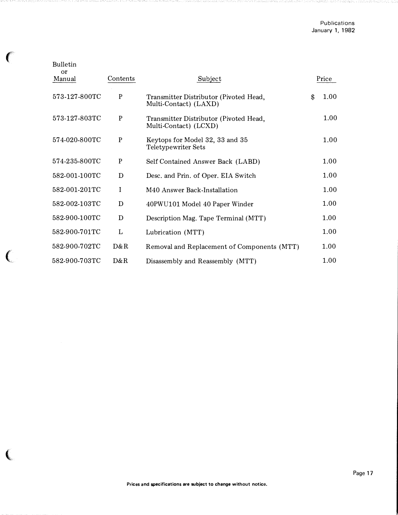| É. | Bulletin            |             |                                                                 |            |
|----|---------------------|-------------|-----------------------------------------------------------------|------------|
|    | <b>or</b><br>Manual | Contents    | Subject                                                         | Price      |
|    | 573-127-800TC       | $\mathbf P$ | Transmitter Distributor (Pivoted Head,<br>Multi-Contact) (LAXD) | \$<br>1.00 |
|    | 573-127-803TC       | P           | Transmitter Distributor (Pivoted Head,<br>Multi-Contact) (LCXD) | 1.00       |
|    | 574-020-800TC       | P           | Keytops for Model 32, 33 and 35<br>Teletypewriter Sets          | 1.00       |
|    | 574-235-800TC       | ${\bf P}$   | Self Contained Answer Back (LABD)                               | 1.00       |
|    | 582-001-100TC       | $\mathbf D$ | Desc. and Prin. of Oper. EIA Switch                             | 1.00       |
|    | 582-001-201TC       | $\mathbf I$ | M40 Answer Back-Installation                                    | 1.00       |
|    | 582-002-103TC       | D           | 40PWU101 Model 40 Paper Winder                                  | 1.00       |
|    | 582-900-100TC       | D           | Description Mag. Tape Terminal (MTT)                            | 1.00       |
|    | 582-900-701TC       | L           | Lubrication (MTT)                                               | 1.00       |
|    | 582-900-702TC       | D&R         | Removal and Replacement of Components (MTT)                     | 1.00       |
|    | 582-900-703TC       | D&R         | Disassembly and Reassembly (MTT)                                | 1.00       |

 $\big($ 

 $\overline{\mathbf{C}}$